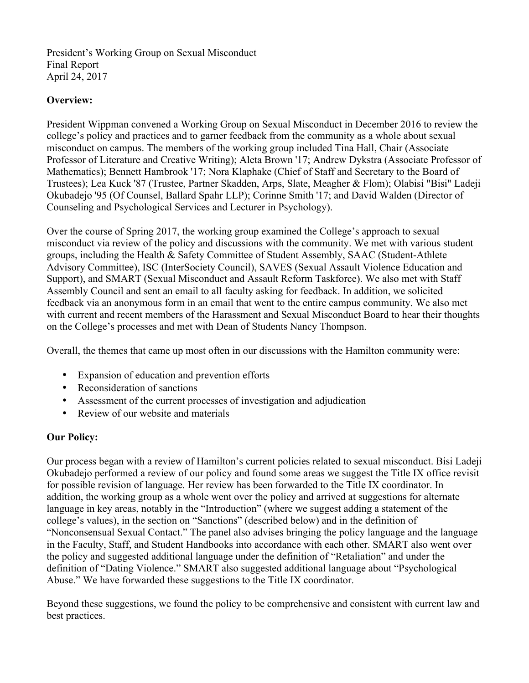President's Working Group on Sexual Misconduct Final Report April 24, 2017

### **Overview:**

President Wippman convened a Working Group on Sexual Misconduct in December 2016 to review the college's policy and practices and to garner feedback from the community as a whole about sexual misconduct on campus. The members of the working group included Tina Hall, Chair (Associate Professor of Literature and Creative Writing); Aleta Brown '17; Andrew Dykstra (Associate Professor of Mathematics); Bennett Hambrook '17; Nora Klaphake (Chief of Staff and Secretary to the Board of Trustees); Lea Kuck '87 (Trustee, Partner Skadden, Arps, Slate, Meagher & Flom); Olabisi "Bisi" Ladeji Okubadejo '95 (Of Counsel, Ballard Spahr LLP); Corinne Smith '17; and David Walden (Director of Counseling and Psychological Services and Lecturer in Psychology).

Over the course of Spring 2017, the working group examined the College's approach to sexual misconduct via review of the policy and discussions with the community. We met with various student groups, including the Health & Safety Committee of Student Assembly, SAAC (Student-Athlete Advisory Committee), ISC (InterSociety Council), SAVES (Sexual Assault Violence Education and Support), and SMART (Sexual Misconduct and Assault Reform Taskforce). We also met with Staff Assembly Council and sent an email to all faculty asking for feedback. In addition, we solicited feedback via an anonymous form in an email that went to the entire campus community. We also met with current and recent members of the Harassment and Sexual Misconduct Board to hear their thoughts on the College's processes and met with Dean of Students Nancy Thompson.

Overall, the themes that came up most often in our discussions with the Hamilton community were:

- Expansion of education and prevention efforts
- Reconsideration of sanctions
- Assessment of the current processes of investigation and adjudication
- Review of our website and materials

#### **Our Policy:**

Our process began with a review of Hamilton's current policies related to sexual misconduct. Bisi Ladeji Okubadejo performed a review of our policy and found some areas we suggest the Title IX office revisit for possible revision of language. Her review has been forwarded to the Title IX coordinator. In addition, the working group as a whole went over the policy and arrived at suggestions for alternate language in key areas, notably in the "Introduction" (where we suggest adding a statement of the college's values), in the section on "Sanctions" (described below) and in the definition of "Nonconsensual Sexual Contact." The panel also advises bringing the policy language and the language in the Faculty, Staff, and Student Handbooks into accordance with each other. SMART also went over the policy and suggested additional language under the definition of "Retaliation" and under the definition of "Dating Violence." SMART also suggested additional language about "Psychological Abuse." We have forwarded these suggestions to the Title IX coordinator.

Beyond these suggestions, we found the policy to be comprehensive and consistent with current law and best practices.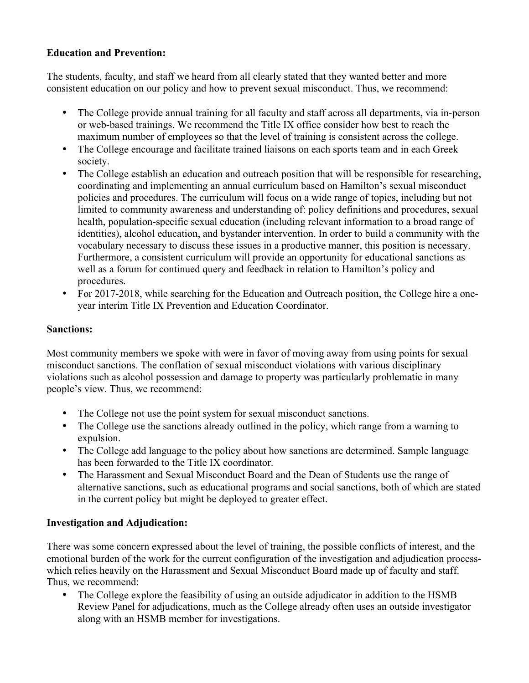# **Education and Prevention:**

The students, faculty, and staff we heard from all clearly stated that they wanted better and more consistent education on our policy and how to prevent sexual misconduct. Thus, we recommend:

- The College provide annual training for all faculty and staff across all departments, via in-person or web-based trainings. We recommend the Title IX office consider how best to reach the maximum number of employees so that the level of training is consistent across the college.
- The College encourage and facilitate trained liaisons on each sports team and in each Greek society.
- The College establish an education and outreach position that will be responsible for researching, coordinating and implementing an annual curriculum based on Hamilton's sexual misconduct policies and procedures. The curriculum will focus on a wide range of topics, including but not limited to community awareness and understanding of: policy definitions and procedures, sexual health, population-specific sexual education (including relevant information to a broad range of identities), alcohol education, and bystander intervention. In order to build a community with the vocabulary necessary to discuss these issues in a productive manner, this position is necessary. Furthermore, a consistent curriculum will provide an opportunity for educational sanctions as well as a forum for continued query and feedback in relation to Hamilton's policy and procedures.
- For 2017-2018, while searching for the Education and Outreach position, the College hire a oneyear interim Title IX Prevention and Education Coordinator.

# **Sanctions:**

Most community members we spoke with were in favor of moving away from using points for sexual misconduct sanctions. The conflation of sexual misconduct violations with various disciplinary violations such as alcohol possession and damage to property was particularly problematic in many people's view. Thus, we recommend:

- The College not use the point system for sexual misconduct sanctions.
- The College use the sanctions already outlined in the policy, which range from a warning to expulsion.
- The College add language to the policy about how sanctions are determined. Sample language has been forwarded to the Title IX coordinator.
- The Harassment and Sexual Misconduct Board and the Dean of Students use the range of alternative sanctions, such as educational programs and social sanctions, both of which are stated in the current policy but might be deployed to greater effect.

#### **Investigation and Adjudication:**

There was some concern expressed about the level of training, the possible conflicts of interest, and the emotional burden of the work for the current configuration of the investigation and adjudication processwhich relies heavily on the Harassment and Sexual Misconduct Board made up of faculty and staff. Thus, we recommend:

• The College explore the feasibility of using an outside adjudicator in addition to the HSMB Review Panel for adjudications, much as the College already often uses an outside investigator along with an HSMB member for investigations.